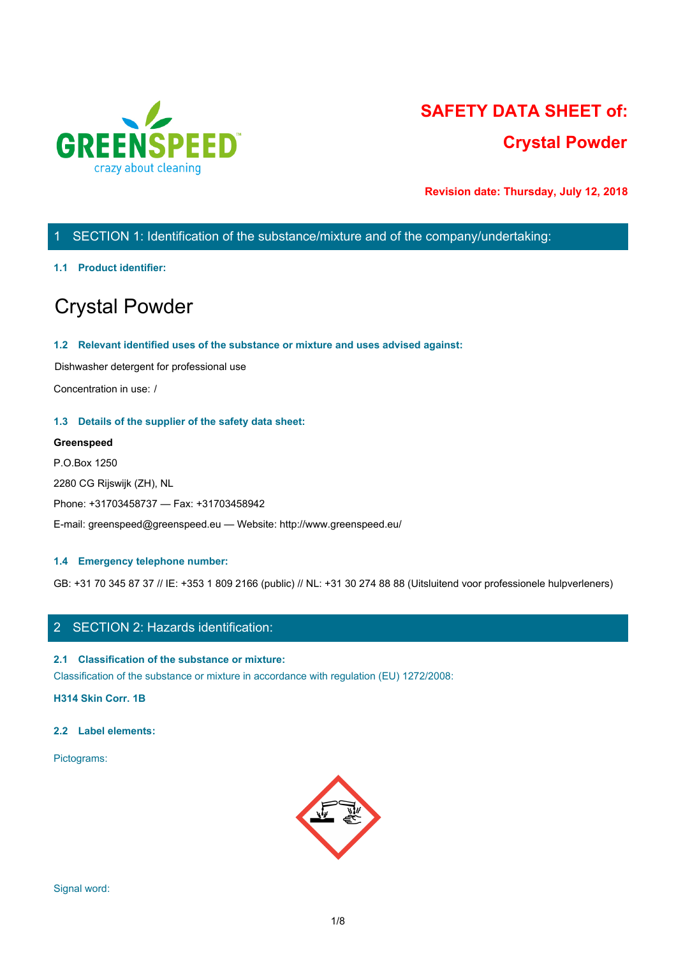

# **SAFETY DATA SHEET of: Crystal Powder**

**Revision date: Thursday, July 12, 2018**

# 1 SECTION 1: Identification of the substance/mixture and of the company/undertaking:

### **1.1 Product identifier:**

# Crystal Powder

### **1.2 Relevant identified uses of the substance or mixture and uses advised against:**

Dishwasher detergent for professional use

Concentration in use: /

### **1.3 Details of the supplier of the safety data sheet:**

### **Greenspeed**

P.O.Box 1250 2280 CG Rijswijk (ZH), NL Phone: +31703458737 — Fax: +31703458942 E-mail: greenspeed@greenspeed.eu — Website: http://www.greenspeed.eu/

### **1.4 Emergency telephone number:**

GB: +31 70 345 87 37 // IE: +353 1 809 2166 (public) // NL: +31 30 274 88 88 (Uitsluitend voor professionele hulpverleners)

# 2 SECTION 2: Hazards identification:

### **2.1 Classification of the substance or mixture:**

Classification of the substance or mixture in accordance with regulation (EU) 1272/2008:

**H314 Skin Corr. 1B**

### **2.2 Label elements:**

Pictograms:

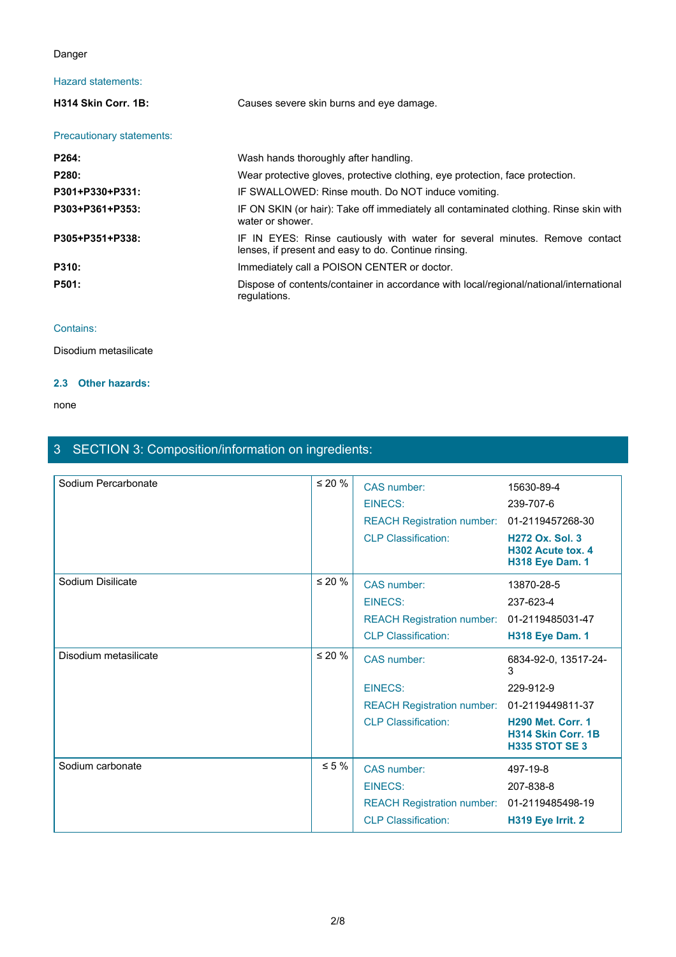### Danger

## Hazard statements:

| Danger                    |                                                                                                                                     |  |
|---------------------------|-------------------------------------------------------------------------------------------------------------------------------------|--|
| Hazard statements:        |                                                                                                                                     |  |
| H314 Skin Corr. 1B:       | Causes severe skin burns and eye damage.                                                                                            |  |
| Precautionary statements: |                                                                                                                                     |  |
| P264:                     | Wash hands thoroughly after handling.                                                                                               |  |
| P280:                     | Wear protective gloves, protective clothing, eye protection, face protection.                                                       |  |
| P301+P330+P331:           | IF SWALLOWED: Rinse mouth. Do NOT induce vomiting.                                                                                  |  |
| P303+P361+P353:           | IF ON SKIN (or hair): Take off immediately all contaminated clothing. Rinse skin with<br>water or shower.                           |  |
| P305+P351+P338:           | IF IN EYES: Rinse cautiously with water for several minutes. Remove contact<br>lenses, if present and easy to do. Continue rinsing. |  |
| P310:                     | Immediately call a POISON CENTER or doctor.                                                                                         |  |
| P501:                     | Dispose of contents/container in accordance with local/regional/national/international<br>regulations.                              |  |
|                           |                                                                                                                                     |  |

### Contains:

Disodium metasilicate

### **2.3 Other hazards:**

#### none and the state of the state of the state of the state of the state of the state of the state of the state of the state of the state of the state of the state of the state of the state of the state of the state of the s

# 3 SECTION 3: Composition/information on ingredients:

| Sodium Percarbonate   | $\leq 20$ %  | CAS number:<br>EINECS:<br><b>REACH Registration number:</b>                                      | 15630-89-4<br>239-707-6<br>01-2119457268-30                                                                     |
|-----------------------|--------------|--------------------------------------------------------------------------------------------------|-----------------------------------------------------------------------------------------------------------------|
|                       |              | <b>CLP Classification:</b>                                                                       | <b>H272 Ox. Sol. 3</b><br>H302 Acute tox. 4<br><b>H318 Eye Dam. 1</b>                                           |
| Sodium Disilicate     | $\leq 20 \%$ | CAS number:<br><b>EINECS:</b><br><b>REACH Registration number:</b><br><b>CLP Classification:</b> | 13870-28-5<br>237-623-4<br>01-2119485031-47<br><b>H318 Eye Dam. 1</b>                                           |
| Disodium metasilicate | $\leq 20 \%$ | CAS number:                                                                                      | 6834-92-0, 13517-24-<br>3                                                                                       |
|                       |              | EINECS:<br><b>REACH Registration number:</b><br><b>CLP Classification:</b>                       | 229-912-9<br>01-2119449811-37<br><b>H290 Met. Corr. 1</b><br><b>H314 Skin Corr. 1B</b><br><b>H335 STOT SE 3</b> |
| Sodium carbonate      | $\leq 5 \%$  | CAS number:<br><b>EINECS:</b><br><b>REACH Registration number:</b><br><b>CLP Classification:</b> | 497-19-8<br>207-838-8<br>01-2119485498-19<br>H319 Eye Irrit. 2                                                  |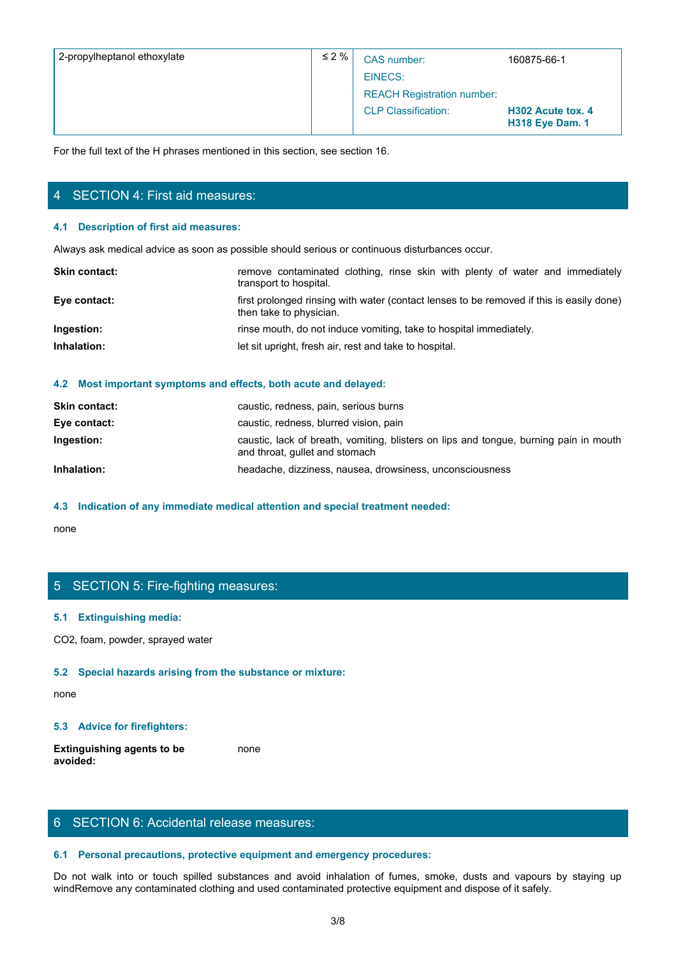| 2-propylheptanol ethoxylate            | $\leq 2\%$                                                                                     | CAS number:                                                                              | 160875-66-1                                 |  |
|----------------------------------------|------------------------------------------------------------------------------------------------|------------------------------------------------------------------------------------------|---------------------------------------------|--|
|                                        |                                                                                                | <b>EINECS:</b>                                                                           |                                             |  |
|                                        |                                                                                                | <b>REACH Registration number:</b>                                                        |                                             |  |
|                                        |                                                                                                | <b>CLP Classification:</b>                                                               | H302 Acute tox. 4<br><b>H318 Eye Dam. 1</b> |  |
|                                        | For the full text of the H phrases mentioned in this section, see section 16.                  |                                                                                          |                                             |  |
|                                        |                                                                                                |                                                                                          |                                             |  |
| 4 SECTION 4: First aid measures:       |                                                                                                |                                                                                          |                                             |  |
|                                        |                                                                                                |                                                                                          |                                             |  |
| 4.1 Description of first aid measures: |                                                                                                |                                                                                          |                                             |  |
|                                        | Always ask medical advice as soon as possible should serious or continuous disturbances occur. |                                                                                          |                                             |  |
| Skin contact:                          | transport to hospital.                                                                         | remove contaminated clothing, rinse skin with plenty of water and immediately            |                                             |  |
| Eye contact:                           | then take to physician.                                                                        | first prolonged rinsing with water (contact lenses to be removed if this is easily done) |                                             |  |
| Ingestion:                             |                                                                                                | rinse mouth, do not induce vomiting, take to hospital immediately.                       |                                             |  |
| Inhalation:                            | let sit upright, fresh air, rest and take to hospital.                                         |                                                                                          |                                             |  |

# 4 SECTION 4: First aid measures:

#### **4.1 Description of first aid measures:**

| <b>Skin contact:</b> | remove contaminated clothing, rinse skin with plenty of water and immediately<br>transport to hospital.             |  |  |  |
|----------------------|---------------------------------------------------------------------------------------------------------------------|--|--|--|
| Eye contact:         | first prolonged rinsing with water (contact lenses to be removed if this is easily done)<br>then take to physician. |  |  |  |
| Ingestion:           | rinse mouth, do not induce vomiting, take to hospital immediately.                                                  |  |  |  |
| Inhalation:          | let sit upright, fresh air, rest and take to hospital.                                                              |  |  |  |
|                      |                                                                                                                     |  |  |  |

### **4.2 Most important symptoms and effects, both acute and delayed:**

| <b>Skin contact:</b> | caustic, redness, pain, serious burns                                                                                   |
|----------------------|-------------------------------------------------------------------------------------------------------------------------|
| Eye contact:         | caustic, redness, blurred vision, pain                                                                                  |
| Ingestion:           | caustic, lack of breath, vomiting, blisters on lips and tongue, burning pain in mouth<br>and throat, gullet and stomach |
| Inhalation:          | headache, dizziness, nausea, drowsiness, unconsciousness                                                                |

### **4.3 Indication of any immediate medical attention and special treatment needed:**

none and the state of the state of the state of the state of the state of the state of the state of the state of the state of the state of the state of the state of the state of the state of the state of the state of the s

# 5 SECTION 5: Fire-fighting measures:

### **5.1 Extinguishing media:**

CO2, foam, powder, sprayed water

#### **5.2 Special hazards arising from the substance or mixture:**

none and the state of the state of the state of the state of the state of the state of the state of the state of the state of the state of the state of the state of the state of the state of the state of the state of the s

### **5.3 Advice for firefighters:**

**Extinguishing agents to be avoided:** none and the state of the state of the state of the state of the state of the state of the state of the state of the state of the state of the state of the state of the state of the state of the state of the state of the s

# 6 SECTION 6: Accidental release measures:

### **6.1 Personal precautions, protective equipment and emergency procedures:**

none<br>
S. SECTION 5: Fire-fighting measures:<br>
S. Special hazards arising from the substance or mixture:<br>
S. Special hazards arising from the substance or mixture:<br>
S. Advice for firefighters:<br>
S. Advice for firefighters:<br>
S windRemove any contaminated clothing and used contaminated protective equipment and dispose of it safely.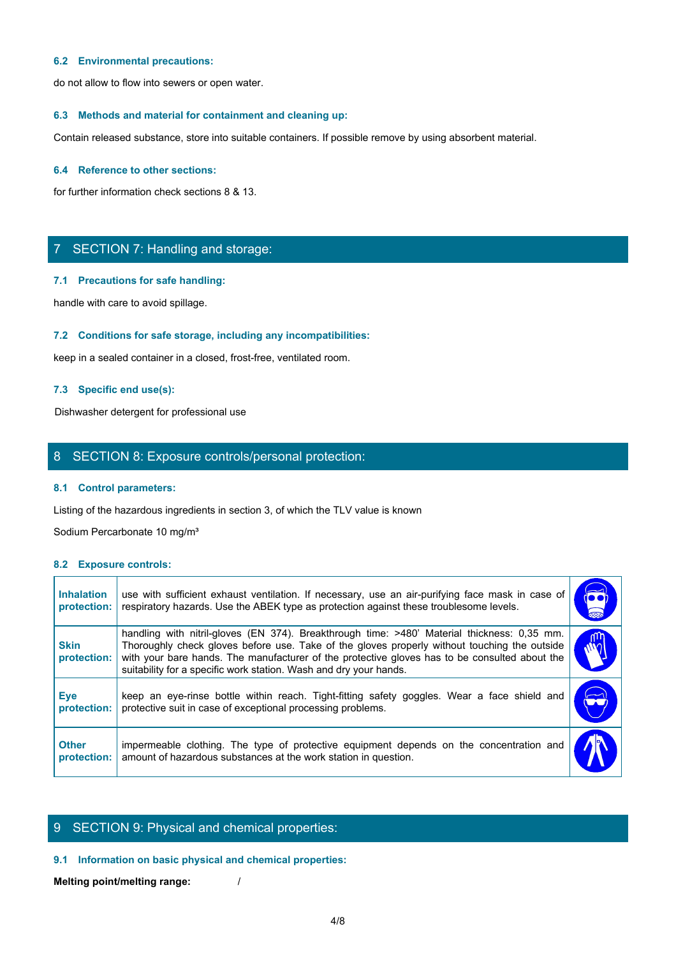### **6.2 Environmental precautions:**

do not allow to flow into sewers or open water.

### **6.3 Methods and material for containment and cleaning up:**

Contain released substance, store into suitable containers. If possible remove by using absorbent material.

### **6.4 Reference to other sections:**

for further information check sections 8 & 13.

# 7 SECTION 7: Handling and storage:

### **7.1 Precautions for safe handling:**

### **7.2 Conditions for safe storage, including any incompatibilities:**

# **7.3 Specific end use(s):**

### 8 SECTION 8: Exposure controls/personal protection:

#### **8.1 Control parameters:**

#### **8.2 Exposure controls:**

|                                  | SECTION 7: Handling and storage:                                                                                                                                                                                                                                                                                                                                  |                       |
|----------------------------------|-------------------------------------------------------------------------------------------------------------------------------------------------------------------------------------------------------------------------------------------------------------------------------------------------------------------------------------------------------------------|-----------------------|
|                                  | 7.1 Precautions for safe handling:                                                                                                                                                                                                                                                                                                                                |                       |
|                                  | handle with care to avoid spillage.                                                                                                                                                                                                                                                                                                                               |                       |
|                                  | 7.2 Conditions for safe storage, including any incompatibilities:                                                                                                                                                                                                                                                                                                 |                       |
|                                  | keep in a sealed container in a closed, frost-free, ventilated room.                                                                                                                                                                                                                                                                                              |                       |
|                                  | 7.3 Specific end use(s):                                                                                                                                                                                                                                                                                                                                          |                       |
|                                  | Dishwasher detergent for professional use                                                                                                                                                                                                                                                                                                                         |                       |
|                                  | 8 SECTION 8: Exposure controls/personal protection:                                                                                                                                                                                                                                                                                                               |                       |
|                                  | 8.1 Control parameters:                                                                                                                                                                                                                                                                                                                                           |                       |
|                                  | Listing of the hazardous ingredients in section 3, of which the TLV value is known                                                                                                                                                                                                                                                                                |                       |
|                                  | Sodium Percarbonate 10 mg/m <sup>3</sup>                                                                                                                                                                                                                                                                                                                          |                       |
| 8.2 Exposure controls:           |                                                                                                                                                                                                                                                                                                                                                                   |                       |
| <b>Inhalation</b><br>protection: | use with sufficient exhaust ventilation. If necessary, use an air-purifying face mask in case of<br>respiratory hazards. Use the ABEK type as protection against these troublesome levels.                                                                                                                                                                        | do or                 |
| <b>Skin</b><br>protection:       | handling with nitril-gloves (EN 374). Breakthrough time: >480' Material thickness: 0,35 mm.<br>Thoroughly check gloves before use. Take of the gloves properly without touching the outside<br>with your bare hands. The manufacturer of the protective gloves has to be consulted about the<br>suitability for a specific work station. Wash and dry your hands. | M                     |
| <b>Eye</b><br>protection:        | keep an eye-rinse bottle within reach. Tight-fitting safety goggles. Wear a face shield and<br>protective suit in case of exceptional processing problems.                                                                                                                                                                                                        | $\blacktriangleright$ |
| <b>Other</b><br>protection:      | impermeable clothing. The type of protective equipment depends on the concentration and<br>amount of hazardous substances at the work station in question.                                                                                                                                                                                                        |                       |

# 9 SECTION 9: Physical and chemical properties:

### **9.1 Information on basic physical and chemical properties:**

**Melting point/melting range:** /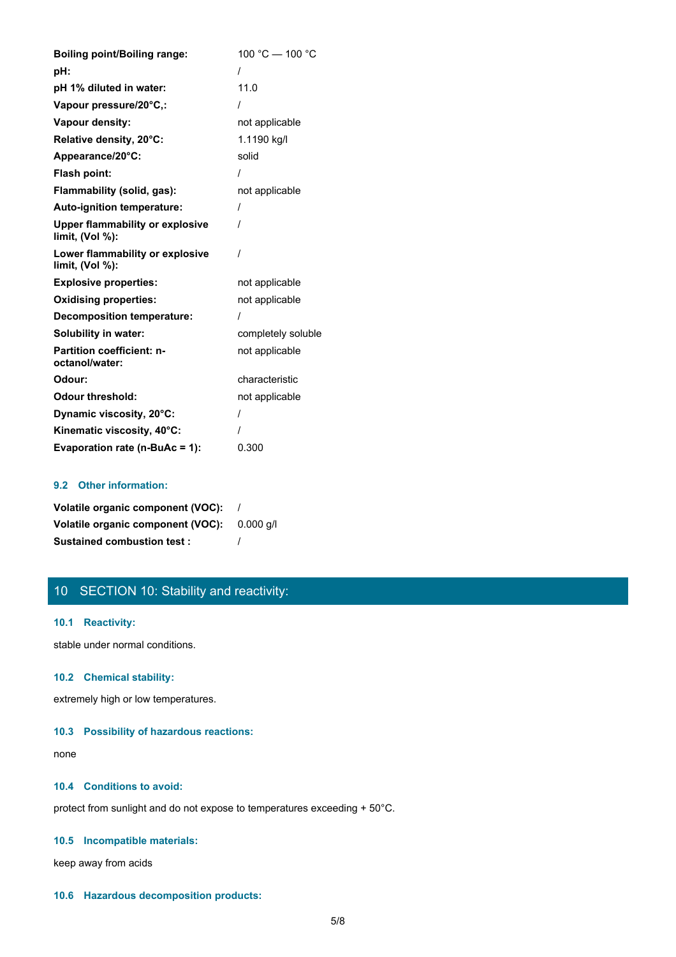| <b>Boiling point/Boiling range:</b>                       | 100 °C - 100 °C    |
|-----------------------------------------------------------|--------------------|
| pH:                                                       | $\prime$           |
| pH 1% diluted in water:                                   | 11.0               |
| Vapour pressure/20°C,:                                    |                    |
| Vapour density:                                           | not applicable     |
| Relative density, 20°C:                                   | 1.1190 kg/l        |
| Appearance/20°C:                                          | solid              |
| <b>Flash point:</b>                                       |                    |
| Flammability (solid, gas):                                | not applicable     |
| Auto-ignition temperature:                                |                    |
| <b>Upper flammability or explosive</b><br>limit, (Vol %): | $\prime$           |
| Lower flammability or explosive<br>limit, $(Vol %)$ :     | $\prime$           |
| <b>Explosive properties:</b>                              | not applicable     |
| <b>Oxidising properties:</b>                              | not applicable     |
| <b>Decomposition temperature:</b>                         |                    |
| Solubility in water:                                      | completely soluble |
| <b>Partition coefficient: n-</b><br>octanol/water:        | not applicable     |
| Odour:                                                    | characteristic     |
| <b>Odour threshold:</b>                                   | not applicable     |
| Dynamic viscosity, 20°C:                                  |                    |
| Kinematic viscosity, 40°C:                                |                    |
| Evaporation rate (n-BuAc = 1):                            | 0.300              |

## **9.2 Other information:**

| Volatile organic component (VOC): |           |
|-----------------------------------|-----------|
| Volatile organic component (VOC): | 0.000 a/l |
| <b>Sustained combustion test:</b> |           |

# 10 SECTION 10: Stability and reactivity:

### **10.1 Reactivity:**

stable under normal conditions.

### **10.2 Chemical stability:**

extremely high or low temperatures.

### **10.3 Possibility of hazardous reactions:**

none and the state of the state of the state of the state of the state of the state of the state of the state of the state of the state of the state of the state of the state of the state of the state of the state of the s

## **10.4 Conditions to avoid:**

protect from sunlight and do not expose to temperatures exceeding + 50°C.

### **10.5 Incompatible materials:**

keep away from acids

### **10.6 Hazardous decomposition products:**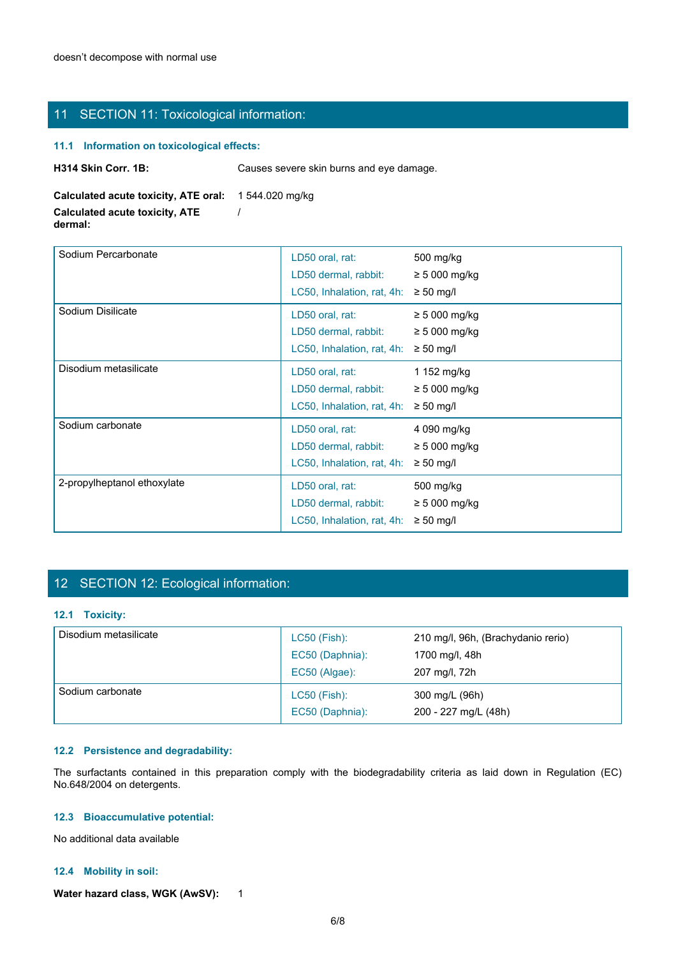# 11 SECTION 11: Toxicological information:

### **11.1 Information on toxicological effects:**

| <b>H314 Skin Corr. 1B:</b> | Causes severe skin burns and eye damage. |  |
|----------------------------|------------------------------------------|--|
|----------------------------|------------------------------------------|--|

**Calculated acute toxicity, ATE oral:** 1 544.020 mg/kg

**Calculated acute toxicity, ATE dermal:**

| Sodium Percarbonate                                                                                                                                                                                              | LD50 oral, rat:<br>LD50 dermal, rabbit:                                              | 500 mg/kg<br>$\geq 5000$ mg/kg                                        |
|------------------------------------------------------------------------------------------------------------------------------------------------------------------------------------------------------------------|--------------------------------------------------------------------------------------|-----------------------------------------------------------------------|
|                                                                                                                                                                                                                  | LC50, Inhalation, rat, 4h: $\geq$ 50 mg/l                                            |                                                                       |
| Sodium Disilicate                                                                                                                                                                                                | LD50 oral, rat:<br>LD50 dermal, rabbit:                                              | $\geq 5000$ mg/kg<br>$\geq 5000$ mg/kg                                |
|                                                                                                                                                                                                                  | LC50, Inhalation, rat, 4h: $\geq$ 50 mg/l                                            |                                                                       |
| Disodium metasilicate                                                                                                                                                                                            | LD50 oral, rat:<br>LD50 dermal, rabbit:<br>LC50, Inhalation, rat, 4h: $\geq$ 50 mg/l | 1 152 mg/kg<br>$\geq 5000$ mg/kg                                      |
| Sodium carbonate                                                                                                                                                                                                 | LD50 oral, rat:<br>LD50 dermal, rabbit:<br>LC50, Inhalation, rat, 4h: $\geq$ 50 mg/l | 4 090 mg/kg<br>$\geq 5000$ mg/kg                                      |
| 2-propylheptanol ethoxylate                                                                                                                                                                                      | LD50 oral, rat:<br>LD50 dermal, rabbit:<br>LC50, Inhalation, rat, 4h: $\geq$ 50 mg/l | 500 mg/kg<br>$\geq 5000$ mg/kg                                        |
|                                                                                                                                                                                                                  |                                                                                      |                                                                       |
| 12 SECTION 12: Ecological information:                                                                                                                                                                           |                                                                                      |                                                                       |
| 12.1 Toxicity:                                                                                                                                                                                                   |                                                                                      |                                                                       |
| Disodium metasilicate                                                                                                                                                                                            | LC50 (Fish):<br>EC50 (Daphnia):<br>EC50 (Algae):                                     | 210 mg/l, 96h, (Brachydanio rerio)<br>1700 mg/l, 48h<br>207 mg/l, 72h |
|                                                                                                                                                                                                                  | LC50 (Fish):<br>EC50 (Daphnia):                                                      | 300 mg/L (96h)<br>200 - 227 mg/L (48h)                                |
| Sodium carbonate<br>12.2 Persistence and degradability:<br>The surfactants contained in this preparation comply with the biodegradability criteria as laid down in Regulation (EC)<br>No.648/2004 on detergents. |                                                                                      |                                                                       |
| 12.3 Bioaccumulative potential:                                                                                                                                                                                  |                                                                                      |                                                                       |

/

# 12 SECTION 12: Ecological information:

### **12.1 Toxicity:**

| Disodium metasilicate | $LC50$ (Fish):<br>EC50 (Daphnia):<br>EC50 (Algae): | 210 mg/l, 96h, (Brachydanio rerio)<br>1700 mg/l, 48h<br>207 mg/l, 72h |  |
|-----------------------|----------------------------------------------------|-----------------------------------------------------------------------|--|
| Sodium carbonate      | $LC50$ (Fish):<br>EC50 (Daphnia):                  | 300 mg/L (96h)<br>200 - 227 mg/L (48h)                                |  |

### **12.2 Persistence and degradability:**

### **12.3 Bioaccumulative potential:**

### **12.4 Mobility in soil:**

Water hazard class, WGK (AwSV): 1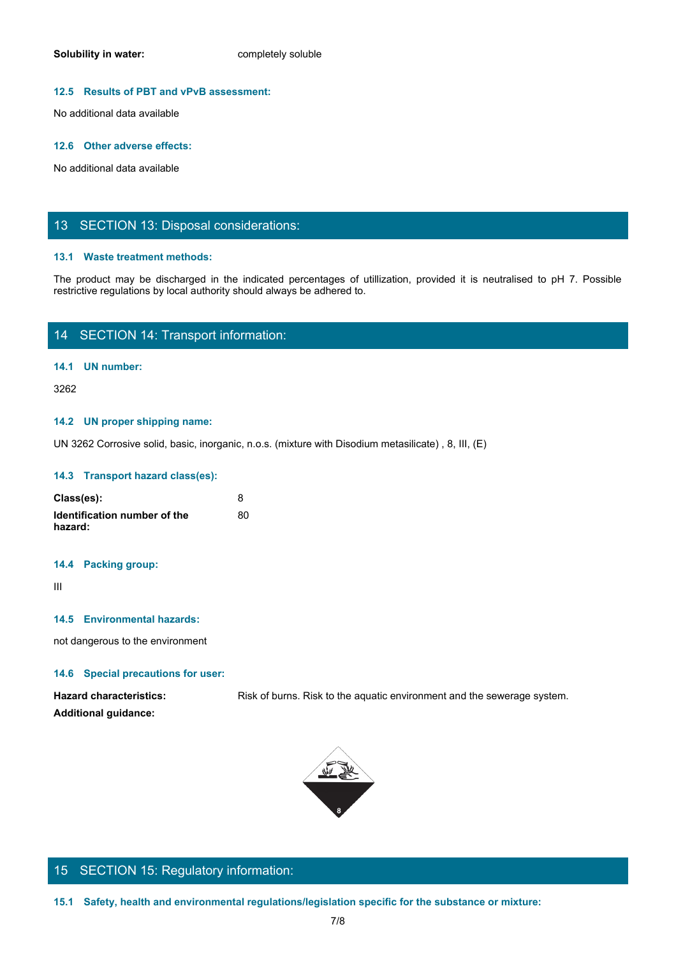### **12.5 Results of PBT and vPvB assessment:**

No additional data available

#### **12.6 Other adverse effects:**

No additional data available

### 13 SECTION 13: Disposal considerations:

### **13.1 Waste treatment methods:**

Solubility in water:<br>
No additional data available<br>
No additional data available<br>
The product may be discharged in the indicated percentages of utilization, provided it is neutralised to pH 7. Possible<br>
The product may be restrictive regulations by local authority should always be adhered to.

# 14 SECTION 14: Transport information:

### **14.1 UN number:**

3262

### **14.2 UN proper shipping name:**

UN 3262 Corrosive solid, basic, inorganic, n.o.s. (mixture with Disodium metasilicate) , 8, III, (E)

#### **14.3 Transport hazard class(es):**

| Class(es):                   | o  |
|------------------------------|----|
| Identification number of the | 80 |
| hazard:                      |    |

#### **14.4 Packing group:**

**Additional guidance:**

III and a structure of the structure

### **14.5 Environmental hazards:**

not dangerous to the environment

### **14.6 Special precautions for user:**

Hazard characteristics: Risk of burns. Risk to the aquatic environment and the sewerage system.



# 15 SECTION 15: Regulatory information: